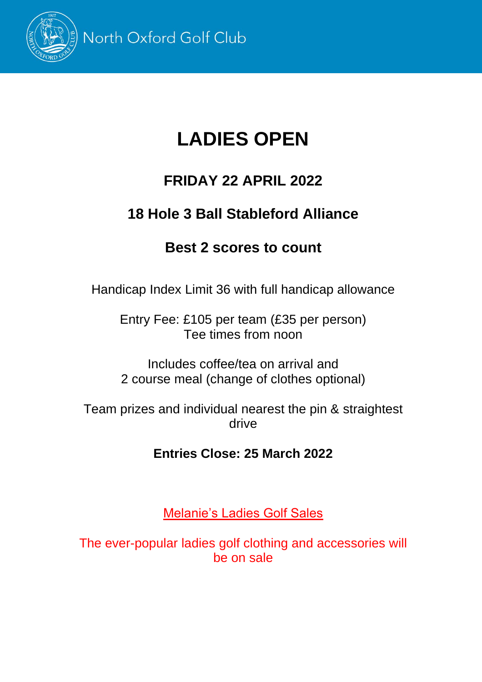

# **LADIES OPEN**

## **FRIDAY 22 APRIL 2022**

## **18 Hole 3 Ball Stableford Alliance**

### **Best 2 scores to count**

Handicap Index Limit 36 with full handicap allowance

Entry Fee: £105 per team (£35 per person) Tee times from noon

Includes coffee/tea on arrival and 2 course meal (change of clothes optional)

Team prizes and individual nearest the pin & straightest drive

#### **Entries Close: 25 March 2022**

Melanie's Ladies Golf Sales

The ever-popular ladies golf clothing and accessories will be on sale